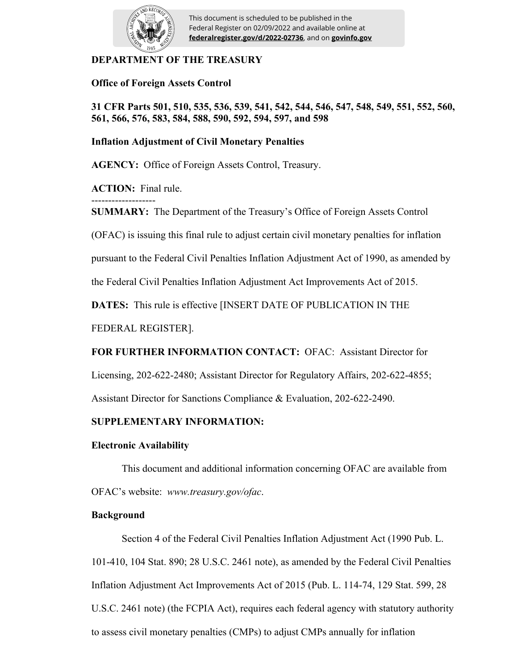

This document is scheduled to be published in the Federal Register on 02/09/2022 and available online at **federalregister.gov/d/2022-02736**, and on **govinfo.gov**

## **DEPARTMENT OF THE TREASURY**

**Office of Foreign Assets Control**

**31 CFR Parts 501, 510, 535, 536, 539, 541, 542, 544, 546, 547, 548, 549, 551, 552, 560, 561, 566, 576, 583, 584, 588, 590, 592, 594, 597, and 598**

## **Inflation Adjustment of Civil Monetary Penalties**

**AGENCY:** Office of Foreign Assets Control, Treasury.

**ACTION:** Final rule.

------------------- **SUMMARY:** The Department of the Treasury's Office of Foreign Assets Control

(OFAC) is issuing this final rule to adjust certain civil monetary penalties for inflation

pursuant to the Federal Civil Penalties Inflation Adjustment Act of 1990, as amended by

the Federal Civil Penalties Inflation Adjustment Act Improvements Act of 2015.

**DATES:** This rule is effective [INSERT DATE OF PUBLICATION IN THE

FEDERAL REGISTER].

# **FOR FURTHER INFORMATION CONTACT:** OFAC: Assistant Director for

Licensing, 202-622-2480; Assistant Director for Regulatory Affairs, 202-622-4855;

Assistant Director for Sanctions Compliance & Evaluation, 202-622-2490.

## **SUPPLEMENTARY INFORMATION:**

## **Electronic Availability**

This document and additional information concerning OFAC are available from OFAC's website: *www.treasury.gov/ofac*.

## **Background**

Section 4 of the Federal Civil Penalties Inflation Adjustment Act (1990 Pub. L. 101-410, 104 Stat. 890; 28 U.S.C. 2461 note), as amended by the Federal Civil Penalties Inflation Adjustment Act Improvements Act of 2015 (Pub. L. 114-74, 129 Stat. 599, 28 U.S.C. 2461 note) (the FCPIA Act), requires each federal agency with statutory authority to assess civil monetary penalties (CMPs) to adjust CMPs annually for inflation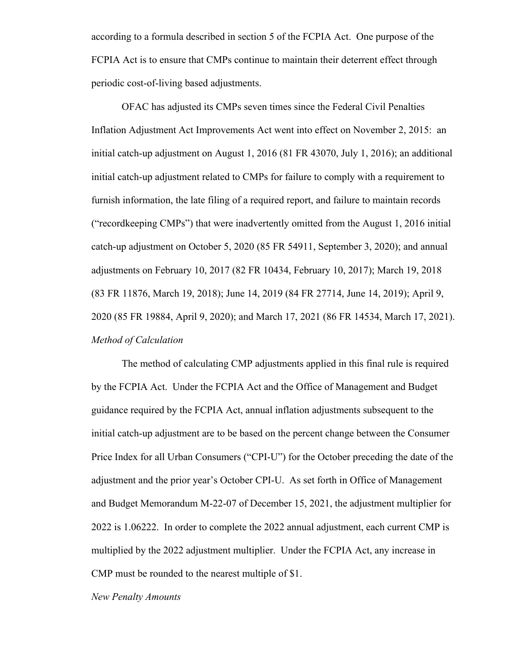according to a formula described in section 5 of the FCPIA Act. One purpose of the FCPIA Act is to ensure that CMPs continue to maintain their deterrent effect through periodic cost-of-living based adjustments.

OFAC has adjusted its CMPs seven times since the Federal Civil Penalties Inflation Adjustment Act Improvements Act went into effect on November 2, 2015: an initial catch-up adjustment on August 1, 2016 (81 FR 43070, July 1, 2016); an additional initial catch-up adjustment related to CMPs for failure to comply with a requirement to furnish information, the late filing of a required report, and failure to maintain records ("recordkeeping CMPs") that were inadvertently omitted from the August 1, 2016 initial catch-up adjustment on October 5, 2020 (85 FR 54911, September 3, 2020); and annual adjustments on February 10, 2017 (82 FR 10434, February 10, 2017); March 19, 2018 (83 FR 11876, March 19, 2018); June 14, 2019 (84 FR 27714, June 14, 2019); April 9, 2020 (85 FR 19884, April 9, 2020); and March 17, 2021 (86 FR 14534, March 17, 2021). *Method of Calculation*

The method of calculating CMP adjustments applied in this final rule is required by the FCPIA Act. Under the FCPIA Act and the Office of Management and Budget guidance required by the FCPIA Act, annual inflation adjustments subsequent to the initial catch-up adjustment are to be based on the percent change between the Consumer Price Index for all Urban Consumers ("CPI-U") for the October preceding the date of the adjustment and the prior year's October CPI-U. As set forth in Office of Management and Budget Memorandum M-22-07 of December 15, 2021, the adjustment multiplier for 2022 is 1.06222. In order to complete the 2022 annual adjustment, each current CMP is multiplied by the 2022 adjustment multiplier. Under the FCPIA Act, any increase in CMP must be rounded to the nearest multiple of \$1.

*New Penalty Amounts*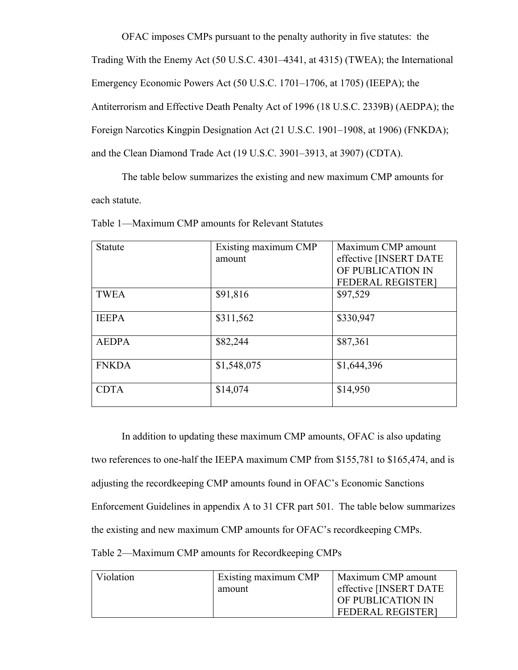OFAC imposes CMPs pursuant to the penalty authority in five statutes: the Trading With the Enemy Act (50 U.S.C. 4301–4341, at 4315) (TWEA); the International Emergency Economic Powers Act (50 U.S.C. 1701–1706, at 1705) (IEEPA); the Antiterrorism and Effective Death Penalty Act of 1996 (18 U.S.C. 2339B) (AEDPA); the Foreign Narcotics Kingpin Designation Act (21 U.S.C. 1901–1908, at 1906) (FNKDA); and the Clean Diamond Trade Act (19 U.S.C. 3901–3913, at 3907) (CDTA).

The table below summarizes the existing and new maximum CMP amounts for each statute.

| <b>Statute</b> | Existing maximum CMP<br>amount | Maximum CMP amount<br>effective [INSERT DATE<br>OF PUBLICATION IN<br><b>FEDERAL REGISTER]</b> |
|----------------|--------------------------------|-----------------------------------------------------------------------------------------------|
| <b>TWEA</b>    | \$91,816                       | \$97,529                                                                                      |
| <b>IEEPA</b>   | \$311,562                      | \$330,947                                                                                     |
| <b>AEDPA</b>   | \$82,244                       | \$87,361                                                                                      |
| <b>FNKDA</b>   | \$1,548,075                    | \$1,644,396                                                                                   |
| <b>CDTA</b>    | \$14,074                       | \$14,950                                                                                      |

Table 1—Maximum CMP amounts for Relevant Statutes

In addition to updating these maximum CMP amounts, OFAC is also updating two references to one-half the IEEPA maximum CMP from \$155,781 to \$165,474, and is adjusting the recordkeeping CMP amounts found in OFAC's Economic Sanctions Enforcement Guidelines in appendix A to 31 CFR part 501. The table below summarizes the existing and new maximum CMP amounts for OFAC's recordkeeping CMPs. Table 2—Maximum CMP amounts for Recordkeeping CMPs

| Violation | Existing maximum CMP | Maximum CMP amount       |
|-----------|----------------------|--------------------------|
|           | amount               | effective [INSERT DATE   |
|           |                      | OF PUBLICATION IN        |
|           |                      | <b>FEDERAL REGISTER1</b> |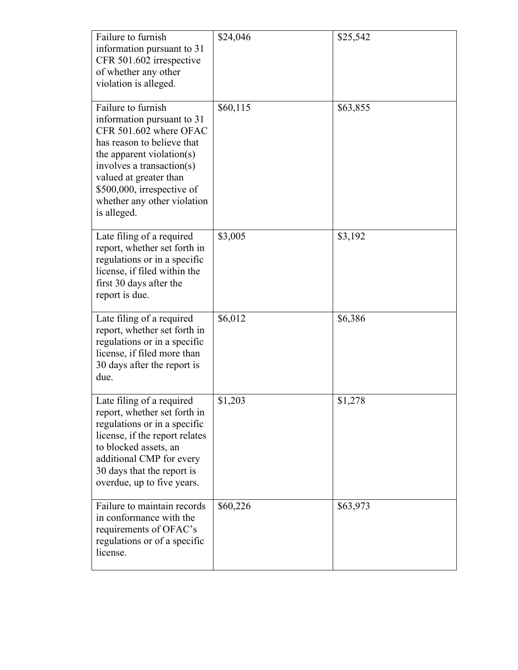| Failure to furnish<br>information pursuant to 31<br>CFR 501.602 irrespective<br>of whether any other<br>violation is alleged.                                                                                                                                            | \$24,046 | \$25,542 |
|--------------------------------------------------------------------------------------------------------------------------------------------------------------------------------------------------------------------------------------------------------------------------|----------|----------|
| Failure to furnish<br>information pursuant to 31<br>CFR 501.602 where OFAC<br>has reason to believe that<br>the apparent violation(s)<br>involves a transaction(s)<br>valued at greater than<br>\$500,000, irrespective of<br>whether any other violation<br>is alleged. | \$60,115 | \$63,855 |
| Late filing of a required<br>report, whether set forth in<br>regulations or in a specific<br>license, if filed within the<br>first 30 days after the<br>report is due.                                                                                                   | \$3,005  | \$3,192  |
| Late filing of a required<br>report, whether set forth in<br>regulations or in a specific<br>license, if filed more than<br>30 days after the report is<br>due.                                                                                                          | \$6,012  | \$6,386  |
| Late filing of a required<br>report, whether set forth in<br>regulations or in a specific<br>license, if the report relates<br>to blocked assets, an<br>additional CMP for every<br>30 days that the report is<br>overdue, up to five years.                             | \$1,203  | \$1,278  |
| Failure to maintain records<br>in conformance with the<br>requirements of OFAC's<br>regulations or of a specific<br>license.                                                                                                                                             | \$60,226 | \$63,973 |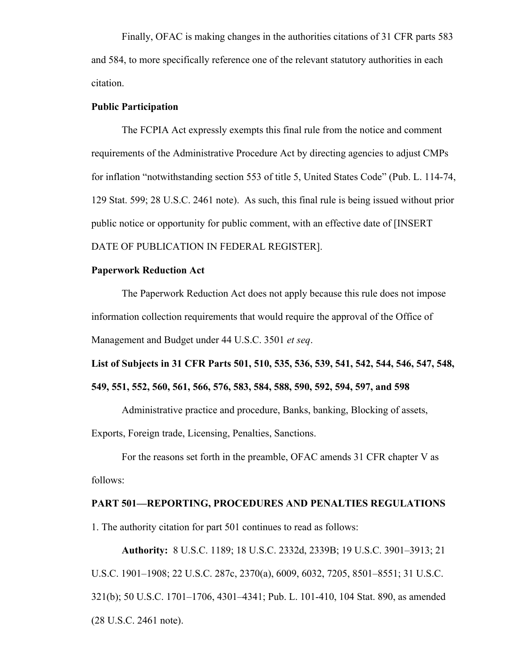Finally, OFAC is making changes in the authorities citations of 31 CFR parts 583 and 584, to more specifically reference one of the relevant statutory authorities in each citation.

#### **Public Participation**

The FCPIA Act expressly exempts this final rule from the notice and comment requirements of the Administrative Procedure Act by directing agencies to adjust CMPs for inflation "notwithstanding section 553 of title 5, United States Code" (Pub. L. 114-74, 129 Stat. 599; 28 U.S.C. 2461 note). As such, this final rule is being issued without prior public notice or opportunity for public comment, with an effective date of [INSERT DATE OF PUBLICATION IN FEDERAL REGISTER].

#### **Paperwork Reduction Act**

The Paperwork Reduction Act does not apply because this rule does not impose information collection requirements that would require the approval of the Office of Management and Budget under 44 U.S.C. 3501 *et seq*.

**List of Subjects in 31 CFR Parts 501, 510, 535, 536, 539, 541, 542, 544, 546, 547, 548, 549, 551, 552, 560, 561, 566, 576, 583, 584, 588, 590, 592, 594, 597, and 598**

Administrative practice and procedure, Banks, banking, Blocking of assets, Exports, Foreign trade, Licensing, Penalties, Sanctions.

For the reasons set forth in the preamble, OFAC amends 31 CFR chapter V as follows:

## **PART 501—REPORTING, PROCEDURES AND PENALTIES REGULATIONS**

1. The authority citation for part 501 continues to read as follows:

**Authority:** 8 U.S.C. 1189; 18 U.S.C. 2332d, 2339B; 19 U.S.C. 3901–3913; 21 U.S.C. 1901–1908; 22 U.S.C. 287c, 2370(a), 6009, 6032, 7205, 8501–8551; 31 U.S.C. 321(b); 50 U.S.C. 1701–1706, 4301–4341; Pub. L. 101-410, 104 Stat. 890, as amended (28 U.S.C. 2461 note).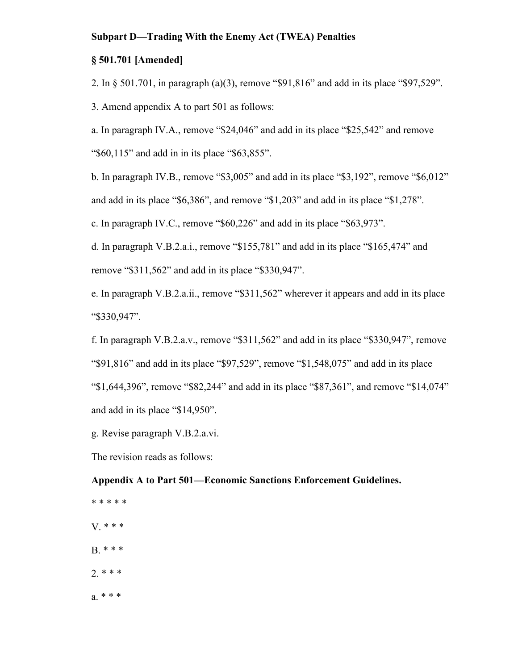#### **Subpart D—Trading With the Enemy Act (TWEA) Penalties**

#### **§ 501.701 [Amended]**

2. In § 501.701, in paragraph (a)(3), remove "\$91,816" and add in its place "\$97,529".

3. Amend appendix A to part 501 as follows:

a. In paragraph IV.A., remove "\$24,046" and add in its place "\$25,542" and remove "\$60,115" and add in in its place "\$63,855".

b. In paragraph IV.B., remove "\$3,005" and add in its place "\$3,192", remove "\$6,012"

and add in its place "\$6,386", and remove "\$1,203" and add in its place "\$1,278".

c. In paragraph IV.C., remove "\$60,226" and add in its place "\$63,973".

d. In paragraph V.B.2.a.i., remove "\$155,781" and add in its place "\$165,474" and remove "\$311,562" and add in its place "\$330,947".

e. In paragraph V.B.2.a.ii., remove "\$311,562" wherever it appears and add in its place "\$330,947".

f. In paragraph V.B.2.a.v., remove "\$311,562" and add in its place "\$330,947", remove "\$91,816" and add in its place "\$97,529", remove "\$1,548,075" and add in its place "\$1,644,396", remove "\$82,244" and add in its place "\$87,361", and remove "\$14,074" and add in its place "\$14,950".

g. Revise paragraph V.B.2.a.vi.

The revision reads as follows:

**Appendix A to Part 501—Economic Sanctions Enforcement Guidelines.** 

\* \* \* \* \* V. \* \* \* B. \* \* \* 2. \* \* \* a. \* \* \*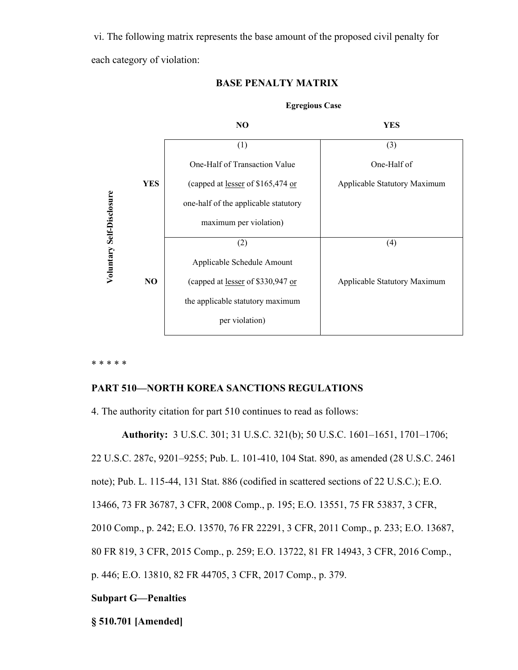vi. The following matrix represents the base amount of the proposed civil penalty for each category of violation:



## **BASE PENALTY MATRIX**

\* \* \* \* \*

# **PART 510—NORTH KOREA SANCTIONS REGULATIONS**

4. The authority citation for part 510 continues to read as follows:

**Authority:** 3 U.S.C. 301; 31 U.S.C. 321(b); 50 U.S.C. 1601–1651, 1701–1706; 22 U.S.C. 287c, 9201–9255; Pub. L. 101-410, 104 Stat. 890, as amended (28 U.S.C. 2461 note); Pub. L. 115-44, 131 Stat. 886 (codified in scattered sections of 22 U.S.C.); E.O. 13466, 73 FR 36787, 3 CFR, 2008 Comp., p. 195; E.O. 13551, 75 FR 53837, 3 CFR, 2010 Comp., p. 242; E.O. 13570, 76 FR 22291, 3 CFR, 2011 Comp., p. 233; E.O. 13687, 80 FR 819, 3 CFR, 2015 Comp., p. 259; E.O. 13722, 81 FR 14943, 3 CFR, 2016 Comp., p. 446; E.O. 13810, 82 FR 44705, 3 CFR, 2017 Comp., p. 379.

## **Subpart G—Penalties**

**§ 510.701 [Amended]**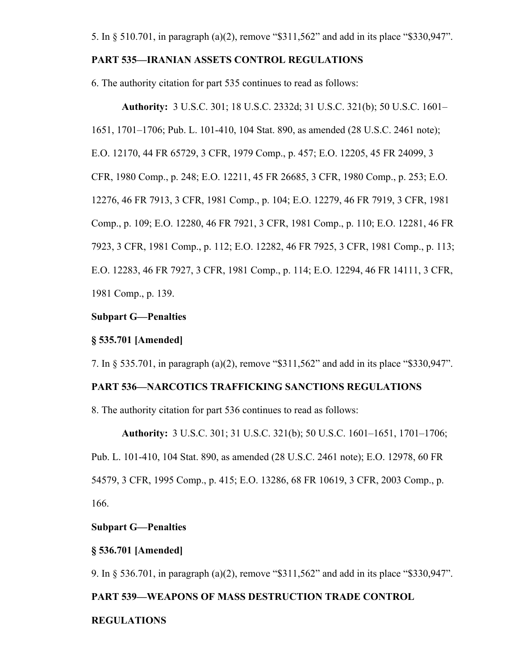#### **PART 535—IRANIAN ASSETS CONTROL REGULATIONS**

6. The authority citation for part 535 continues to read as follows:

**Authority:** 3 U.S.C. 301; 18 U.S.C. 2332d; 31 U.S.C. 321(b); 50 U.S.C. 1601– 1651, 1701–1706; Pub. L. 101-410, 104 Stat. 890, as amended (28 U.S.C. 2461 note); E.O. 12170, 44 FR 65729, 3 CFR, 1979 Comp., p. 457; E.O. 12205, 45 FR 24099, 3 CFR, 1980 Comp., p. 248; E.O. 12211, 45 FR 26685, 3 CFR, 1980 Comp., p. 253; E.O. 12276, 46 FR 7913, 3 CFR, 1981 Comp., p. 104; E.O. 12279, 46 FR 7919, 3 CFR, 1981 Comp., p. 109; E.O. 12280, 46 FR 7921, 3 CFR, 1981 Comp., p. 110; E.O. 12281, 46 FR 7923, 3 CFR, 1981 Comp., p. 112; E.O. 12282, 46 FR 7925, 3 CFR, 1981 Comp., p. 113; E.O. 12283, 46 FR 7927, 3 CFR, 1981 Comp., p. 114; E.O. 12294, 46 FR 14111, 3 CFR, 1981 Comp., p. 139.

## **Subpart G—Penalties**

#### **§ 535.701 [Amended]**

7. In § 535.701, in paragraph (a)(2), remove "\$311,562" and add in its place "\$330,947".

## **PART 536—NARCOTICS TRAFFICKING SANCTIONS REGULATIONS**

8. The authority citation for part 536 continues to read as follows:

**Authority:** 3 U.S.C. 301; 31 U.S.C. 321(b); 50 U.S.C. 1601–1651, 1701–1706; Pub. L. 101-410, 104 Stat. 890, as amended (28 U.S.C. 2461 note); E.O. 12978, 60 FR 54579, 3 CFR, 1995 Comp., p. 415; E.O. 13286, 68 FR 10619, 3 CFR, 2003 Comp., p. 166.

## **Subpart G—Penalties**

#### **§ 536.701 [Amended]**

9. In § 536.701, in paragraph (a)(2), remove "\$311,562" and add in its place "\$330,947".

#### **PART 539—WEAPONS OF MASS DESTRUCTION TRADE CONTROL**

#### **REGULATIONS**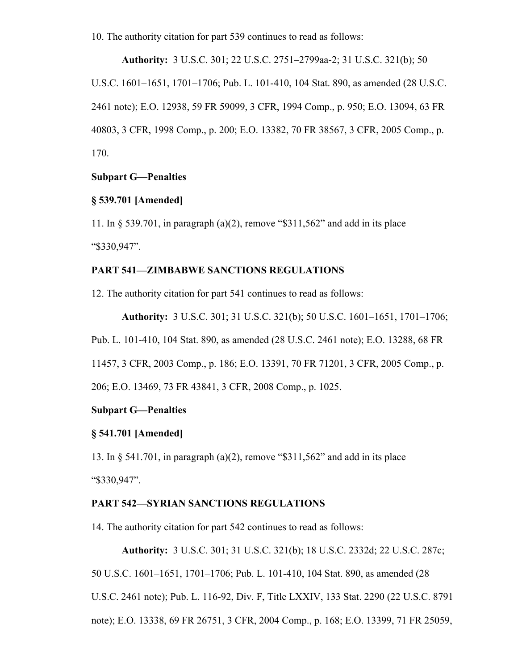10. The authority citation for part 539 continues to read as follows:

**Authority:** 3 U.S.C. 301; 22 U.S.C. 2751–2799aa-2; 31 U.S.C. 321(b); 50 U.S.C. 1601–1651, 1701–1706; Pub. L. 101-410, 104 Stat. 890, as amended (28 U.S.C. 2461 note); E.O. 12938, 59 FR 59099, 3 CFR, 1994 Comp., p. 950; E.O. 13094, 63 FR 40803, 3 CFR, 1998 Comp., p. 200; E.O. 13382, 70 FR 38567, 3 CFR, 2005 Comp., p. 170.

### **Subpart G—Penalties**

## **§ 539.701 [Amended]**

11. In § 539.701, in paragraph (a)(2), remove "\$311,562" and add in its place "\$330,947".

## **PART 541—ZIMBABWE SANCTIONS REGULATIONS**

12. The authority citation for part 541 continues to read as follows:

**Authority:** 3 U.S.C. 301; 31 U.S.C. 321(b); 50 U.S.C. 1601–1651, 1701–1706; Pub. L. 101-410, 104 Stat. 890, as amended (28 U.S.C. 2461 note); E.O. 13288, 68 FR 11457, 3 CFR, 2003 Comp., p. 186; E.O. 13391, 70 FR 71201, 3 CFR, 2005 Comp., p. 206; E.O. 13469, 73 FR 43841, 3 CFR, 2008 Comp., p. 1025.

# **Subpart G—Penalties**

#### **§ 541.701 [Amended]**

13. In § 541.701, in paragraph (a)(2), remove "\$311,562" and add in its place "\$330,947".

## **PART 542—SYRIAN SANCTIONS REGULATIONS**

14. The authority citation for part 542 continues to read as follows:

**Authority:** 3 U.S.C. 301; 31 U.S.C. 321(b); 18 U.S.C. 2332d; 22 U.S.C. 287c;

50 U.S.C. 1601–1651, 1701–1706; Pub. L. 101-410, 104 Stat. 890, as amended (28

U.S.C. 2461 note); Pub. L. 116-92, Div. F, Title LXXIV, 133 Stat. 2290 (22 U.S.C. 8791

note); E.O. 13338, 69 FR 26751, 3 CFR, 2004 Comp., p. 168; E.O. 13399, 71 FR 25059,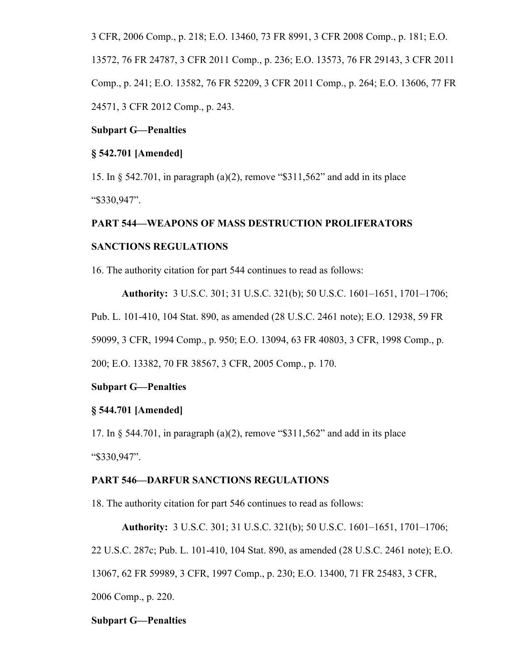3 CFR, 2006 Comp., p. 218; E.O. 13460, 73 FR 8991, 3 CFR 2008 Comp., p. 181; E.O.

13572, 76 FR 24787, 3 CFR 2011 Comp., p. 236; E.O. 13573, 76 FR 29143, 3 CFR 2011 Comp., p. 241; E.O. 13582, 76 FR 52209, 3 CFR 2011 Comp., p. 264; E.O. 13606, 77 FR 24571, 3 CFR 2012 Comp., p. 243.

#### **Subpart G—Penalties**

## **§ 542.701 [Amended]**

15. In § 542.701, in paragraph (a)(2), remove "\$311,562" and add in its place "\$330,947".

## **PART 544—WEAPONS OF MASS DESTRUCTION PROLIFERATORS**

## **SANCTIONS REGULATIONS**

16. The authority citation for part 544 continues to read as follows:

**Authority:** 3 U.S.C. 301; 31 U.S.C. 321(b); 50 U.S.C. 1601–1651, 1701–1706;

Pub. L. 101-410, 104 Stat. 890, as amended (28 U.S.C. 2461 note); E.O. 12938, 59 FR

59099, 3 CFR, 1994 Comp., p. 950; E.O. 13094, 63 FR 40803, 3 CFR, 1998 Comp., p.

200; E.O. 13382, 70 FR 38567, 3 CFR, 2005 Comp., p. 170.

#### **Subpart G—Penalties**

## **§ 544.701 [Amended]**

17. In § 544.701, in paragraph (a)(2), remove "\$311,562" and add in its place "\$330,947".

#### **PART 546—DARFUR SANCTIONS REGULATIONS**

18. The authority citation for part 546 continues to read as follows:

**Authority:** 3 U.S.C. 301; 31 U.S.C. 321(b); 50 U.S.C. 1601–1651, 1701–1706; 22 U.S.C. 287c; Pub. L. 101-410, 104 Stat. 890, as amended (28 U.S.C. 2461 note); E.O. 13067, 62 FR 59989, 3 CFR, 1997 Comp., p. 230; E.O. 13400, 71 FR 25483, 3 CFR, 2006 Comp., p. 220.

#### **Subpart G—Penalties**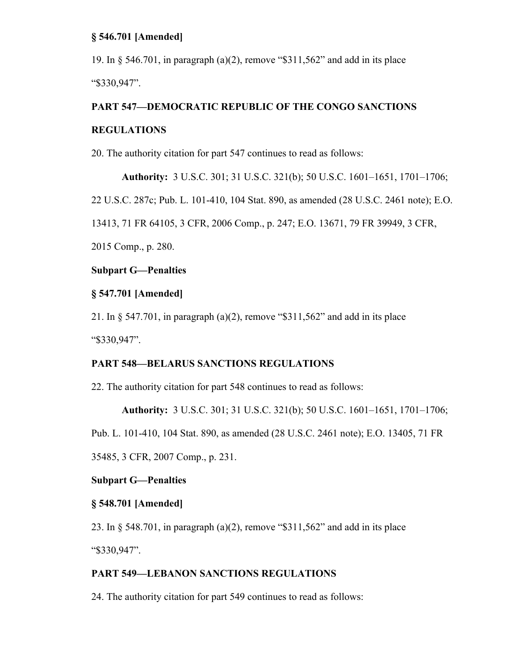## **§ 546.701 [Amended]**

19. In § 546.701, in paragraph (a)(2), remove "\$311,562" and add in its place "\$330,947".

## **PART 547—DEMOCRATIC REPUBLIC OF THE CONGO SANCTIONS**

## **REGULATIONS**

20. The authority citation for part 547 continues to read as follows:

**Authority:** 3 U.S.C. 301; 31 U.S.C. 321(b); 50 U.S.C. 1601–1651, 1701–1706; 22 U.S.C. 287c; Pub. L. 101-410, 104 Stat. 890, as amended (28 U.S.C. 2461 note); E.O. 13413, 71 FR 64105, 3 CFR, 2006 Comp., p. 247; E.O. 13671, 79 FR 39949, 3 CFR, 2015 Comp., p. 280.

## **Subpart G—Penalties**

## **§ 547.701 [Amended]**

21. In § 547.701, in paragraph (a)(2), remove "\$311,562" and add in its place "\$330,947".

## **PART 548—BELARUS SANCTIONS REGULATIONS**

22. The authority citation for part 548 continues to read as follows:

**Authority:** 3 U.S.C. 301; 31 U.S.C. 321(b); 50 U.S.C. 1601–1651, 1701–1706;

Pub. L. 101-410, 104 Stat. 890, as amended (28 U.S.C. 2461 note); E.O. 13405, 71 FR

35485, 3 CFR, 2007 Comp., p. 231.

## **Subpart G—Penalties**

### **§ 548.701 [Amended]**

23. In § 548.701, in paragraph (a)(2), remove "\$311,562" and add in its place "\$330,947".

## **PART 549—LEBANON SANCTIONS REGULATIONS**

24. The authority citation for part 549 continues to read as follows: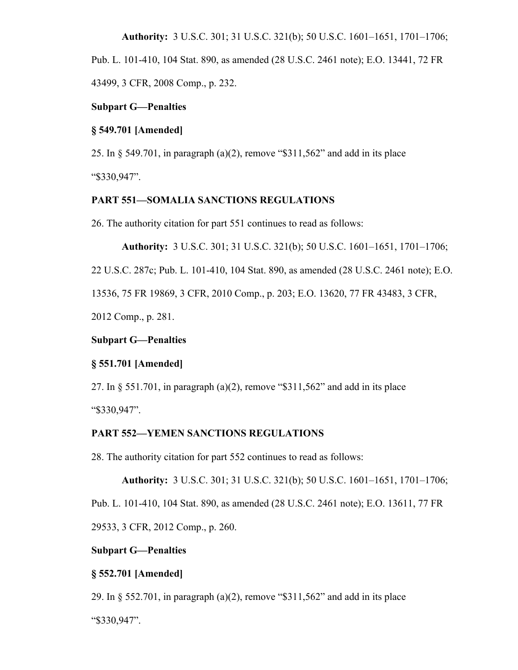**Authority:** 3 U.S.C. 301; 31 U.S.C. 321(b); 50 U.S.C. 1601–1651, 1701–1706;

Pub. L. 101-410, 104 Stat. 890, as amended (28 U.S.C. 2461 note); E.O. 13441, 72 FR

43499, 3 CFR, 2008 Comp., p. 232.

#### **Subpart G—Penalties**

#### **§ 549.701 [Amended]**

25. In § 549.701, in paragraph (a)(2), remove "\$311,562" and add in its place "\$330,947".

# **PART 551—SOMALIA SANCTIONS REGULATIONS**

26. The authority citation for part 551 continues to read as follows:

**Authority:** 3 U.S.C. 301; 31 U.S.C. 321(b); 50 U.S.C. 1601–1651, 1701–1706;

22 U.S.C. 287c; Pub. L. 101-410, 104 Stat. 890, as amended (28 U.S.C. 2461 note); E.O.

13536, 75 FR 19869, 3 CFR, 2010 Comp., p. 203; E.O. 13620, 77 FR 43483, 3 CFR,

2012 Comp., p. 281.

#### **Subpart G—Penalties**

# **§ 551.701 [Amended]**

27. In § 551.701, in paragraph (a)(2), remove "\$311,562" and add in its place

"\$330,947".

## **PART 552—YEMEN SANCTIONS REGULATIONS**

28. The authority citation for part 552 continues to read as follows:

**Authority:** 3 U.S.C. 301; 31 U.S.C. 321(b); 50 U.S.C. 1601–1651, 1701–1706;

Pub. L. 101-410, 104 Stat. 890, as amended (28 U.S.C. 2461 note); E.O. 13611, 77 FR

29533, 3 CFR, 2012 Comp., p. 260.

## **Subpart G—Penalties**

## **§ 552.701 [Amended]**

29. In § 552.701, in paragraph (a)(2), remove "\$311,562" and add in its place

"\$330,947".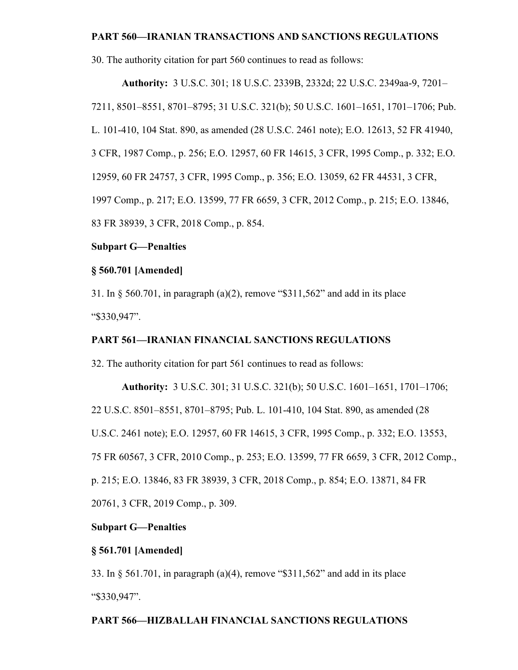### **PART 560—IRANIAN TRANSACTIONS AND SANCTIONS REGULATIONS**

30. The authority citation for part 560 continues to read as follows:

**Authority:** 3 U.S.C. 301; 18 U.S.C. 2339B, 2332d; 22 U.S.C. 2349aa-9, 7201– 7211, 8501–8551, 8701–8795; 31 U.S.C. 321(b); 50 U.S.C. 1601–1651, 1701–1706; Pub. L. 101-410, 104 Stat. 890, as amended (28 U.S.C. 2461 note); E.O. 12613, 52 FR 41940, 3 CFR, 1987 Comp., p. 256; E.O. 12957, 60 FR 14615, 3 CFR, 1995 Comp., p. 332; E.O. 12959, 60 FR 24757, 3 CFR, 1995 Comp., p. 356; E.O. 13059, 62 FR 44531, 3 CFR, 1997 Comp., p. 217; E.O. 13599, 77 FR 6659, 3 CFR, 2012 Comp., p. 215; E.O. 13846, 83 FR 38939, 3 CFR, 2018 Comp., p. 854.

#### **Subpart G—Penalties**

#### **§ 560.701 [Amended]**

31. In § 560.701, in paragraph (a)(2), remove "\$311,562" and add in its place "\$330,947".

## **PART 561—IRANIAN FINANCIAL SANCTIONS REGULATIONS**

32. The authority citation for part 561 continues to read as follows:

**Authority:** 3 U.S.C. 301; 31 U.S.C. 321(b); 50 U.S.C. 1601–1651, 1701–1706; 22 U.S.C. 8501–8551, 8701–8795; Pub. L. 101-410, 104 Stat. 890, as amended (28 U.S.C. 2461 note); E.O. 12957, 60 FR 14615, 3 CFR, 1995 Comp., p. 332; E.O. 13553, 75 FR 60567, 3 CFR, 2010 Comp., p. 253; E.O. 13599, 77 FR 6659, 3 CFR, 2012 Comp., p. 215; E.O. 13846, 83 FR 38939, 3 CFR, 2018 Comp., p. 854; E.O. 13871, 84 FR 20761, 3 CFR, 2019 Comp., p. 309.

# **Subpart G—Penalties**

#### **§ 561.701 [Amended]**

33. In § 561.701, in paragraph (a)(4), remove "\$311,562" and add in its place "\$330,947".

## **PART 566—HIZBALLAH FINANCIAL SANCTIONS REGULATIONS**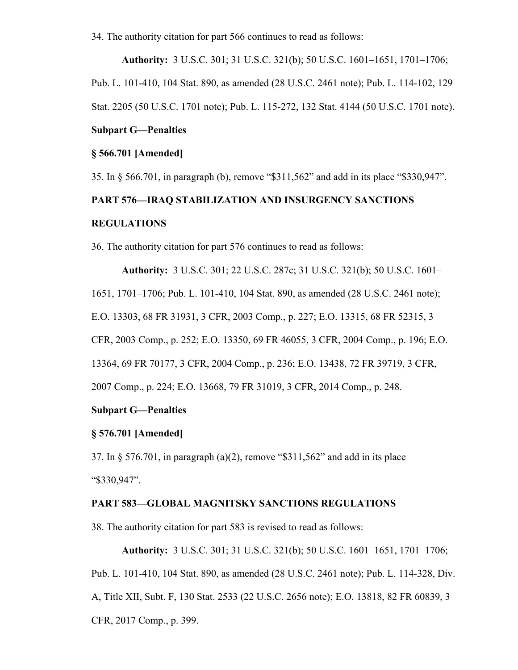34. The authority citation for part 566 continues to read as follows:

**Authority:** 3 U.S.C. 301; 31 U.S.C. 321(b); 50 U.S.C. 1601–1651, 1701–1706; Pub. L. 101-410, 104 Stat. 890, as amended (28 U.S.C. 2461 note); Pub. L. 114-102, 129 Stat. 2205 (50 U.S.C. 1701 note); Pub. L. 115-272, 132 Stat. 4144 (50 U.S.C. 1701 note).

## **Subpart G—Penalties**

## **§ 566.701 [Amended]**

35. In § 566.701, in paragraph (b), remove "\$311,562" and add in its place "\$330,947".

# **PART 576—IRAQ STABILIZATION AND INSURGENCY SANCTIONS REGULATIONS**

36. The authority citation for part 576 continues to read as follows:

**Authority:** 3 U.S.C. 301; 22 U.S.C. 287c; 31 U.S.C. 321(b); 50 U.S.C. 1601– 1651, 1701–1706; Pub. L. 101-410, 104 Stat. 890, as amended (28 U.S.C. 2461 note); E.O. 13303, 68 FR 31931, 3 CFR, 2003 Comp., p. 227; E.O. 13315, 68 FR 52315, 3 CFR, 2003 Comp., p. 252; E.O. 13350, 69 FR 46055, 3 CFR, 2004 Comp., p. 196; E.O. 13364, 69 FR 70177, 3 CFR, 2004 Comp., p. 236; E.O. 13438, 72 FR 39719, 3 CFR, 2007 Comp., p. 224; E.O. 13668, 79 FR 31019, 3 CFR, 2014 Comp., p. 248.

# **Subpart G—Penalties**

## **§ 576.701 [Amended]**

37. In § 576.701, in paragraph (a)(2), remove "\$311,562" and add in its place "\$330,947".

## **PART 583—GLOBAL MAGNITSKY SANCTIONS REGULATIONS**

38. The authority citation for part 583 is revised to read as follows:

**Authority:** 3 U.S.C. 301; 31 U.S.C. 321(b); 50 U.S.C. 1601–1651, 1701–1706; Pub. L. 101-410, 104 Stat. 890, as amended (28 U.S.C. 2461 note); Pub. L. 114-328, Div. A, Title XII, Subt. F, 130 Stat. 2533 (22 U.S.C. 2656 note); E.O. 13818, 82 FR 60839, 3 CFR, 2017 Comp., p. 399.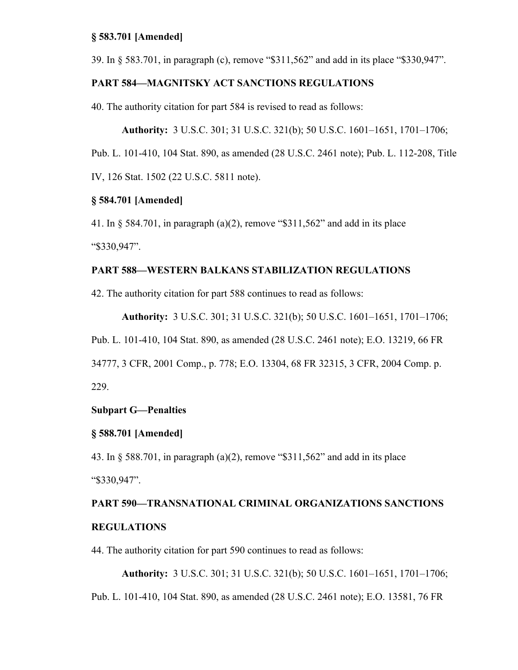## **§ 583.701 [Amended]**

39. In § 583.701, in paragraph (c), remove "\$311,562" and add in its place "\$330,947".

## **PART 584—MAGNITSKY ACT SANCTIONS REGULATIONS**

40. The authority citation for part 584 is revised to read as follows:

**Authority:** 3 U.S.C. 301; 31 U.S.C. 321(b); 50 U.S.C. 1601–1651, 1701–1706;

Pub. L. 101-410, 104 Stat. 890, as amended (28 U.S.C. 2461 note); Pub. L. 112-208, Title

IV, 126 Stat. 1502 (22 U.S.C. 5811 note).

## **§ 584.701 [Amended]**

41. In § 584.701, in paragraph (a)(2), remove "\$311,562" and add in its place "\$330,947".

## **PART 588—WESTERN BALKANS STABILIZATION REGULATIONS**

42. The authority citation for part 588 continues to read as follows:

**Authority:** 3 U.S.C. 301; 31 U.S.C. 321(b); 50 U.S.C. 1601–1651, 1701–1706; Pub. L. 101-410, 104 Stat. 890, as amended (28 U.S.C. 2461 note); E.O. 13219, 66 FR 34777, 3 CFR, 2001 Comp., p. 778; E.O. 13304, 68 FR 32315, 3 CFR, 2004 Comp. p. 229.

# **Subpart G—Penalties**

# **§ 588.701 [Amended]**

43. In § 588.701, in paragraph (a)(2), remove "\$311,562" and add in its place "\$330,947".

# **PART 590—TRANSNATIONAL CRIMINAL ORGANIZATIONS SANCTIONS REGULATIONS**

44. The authority citation for part 590 continues to read as follows:

**Authority:** 3 U.S.C. 301; 31 U.S.C. 321(b); 50 U.S.C. 1601–1651, 1701–1706; Pub. L. 101-410, 104 Stat. 890, as amended (28 U.S.C. 2461 note); E.O. 13581, 76 FR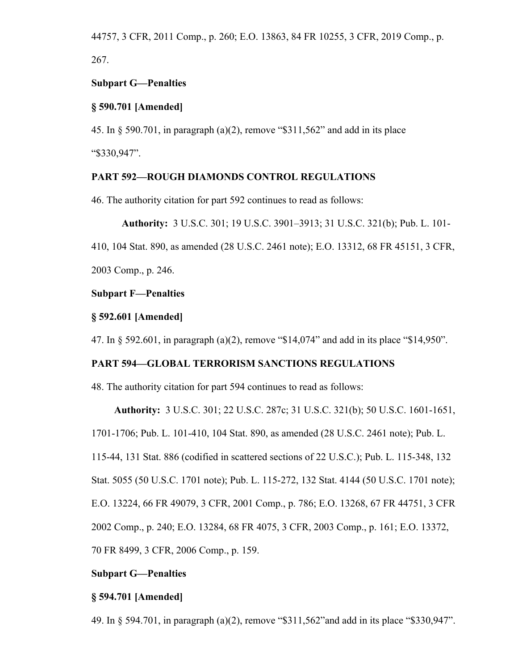44757, 3 CFR, 2011 Comp., p. 260; E.O. 13863, 84 FR 10255, 3 CFR, 2019 Comp., p. 267.

## **Subpart G—Penalties**

# **§ 590.701 [Amended]**

45. In § 590.701, in paragraph (a)(2), remove "\$311,562" and add in its place "\$330,947".

## **PART 592—ROUGH DIAMONDS CONTROL REGULATIONS**

46. The authority citation for part 592 continues to read as follows:

**Authority:** 3 U.S.C. 301; 19 U.S.C. 3901–3913; 31 U.S.C. 321(b); Pub. L. 101-

410, 104 Stat. 890, as amended (28 U.S.C. 2461 note); E.O. 13312, 68 FR 45151, 3 CFR,

2003 Comp., p. 246.

## **Subpart F—Penalties**

## **§ 592.601 [Amended]**

47. In § 592.601, in paragraph (a)(2), remove "\$14,074" and add in its place "\$14,950".

# **PART 594—GLOBAL TERRORISM SANCTIONS REGULATIONS**

48. The authority citation for part 594 continues to read as follows:

**Authority:** 3 U.S.C. 301; 22 U.S.C. 287c; 31 U.S.C. 321(b); 50 U.S.C. 1601-1651,

1701-1706; Pub. L. 101-410, 104 Stat. 890, as amended (28 U.S.C. 2461 note); Pub. L.

115-44, 131 Stat. 886 (codified in scattered sections of 22 U.S.C.); Pub. L. 115-348, 132

Stat. 5055 (50 U.S.C. 1701 note); Pub. L. 115-272, 132 Stat. 4144 (50 U.S.C. 1701 note);

E.O. 13224, 66 FR 49079, 3 CFR, 2001 Comp., p. 786; E.O. 13268, 67 FR 44751, 3 CFR

2002 Comp., p. 240; E.O. 13284, 68 FR 4075, 3 CFR, 2003 Comp., p. 161; E.O. 13372,

70 FR 8499, 3 CFR, 2006 Comp., p. 159.

# **Subpart G—Penalties**

## **§ 594.701 [Amended]**

49. In § 594.701, in paragraph (a)(2), remove "\$311,562"and add in its place "\$330,947".